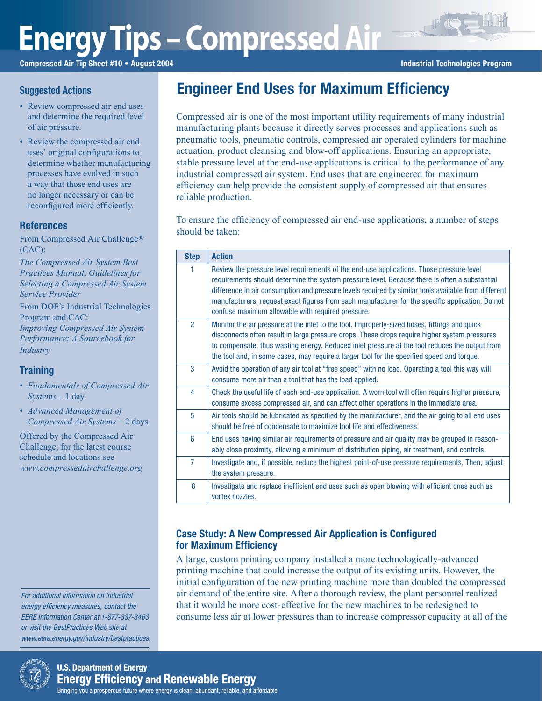# **Energy Tips – Compressed Air**

Compressed Air Tip Sheet #10 • August 2004 **Industrial Technologies Program** Industrial Technologies Program

### **Suggested Actions**

- Review compressed air end uses and determine the required level of air pressure.
- Review the compressed air end uses' original configurations to determine whether manufacturing processes have evolved in such a way that those end uses are no longer necessary or can be reconfigured more efficiently.

## References

From Compressed Air Challenge® (CAC):

*The Compressed Air System Best Practices Manual, Guidelines for Selecting a Compressed Air System Service Provider*

From DOE's Industrial Technologies Program and CAC: *Improving Compressed Air System Performance: A Sourcebook for Industry*

## **Training**

- *Fundamentals of Compressed Air Systems* – 1 day
- *Advanced Management of Compressed Air Systems* – 2 days

Offered by the Compressed Air Challenge; for the latest course schedule and locations see *www.compressedairchallenge.org*

For additional information on industrial energy efficiency measures, contact the EERE Information Center at 1-877-337-3463 or visit the BestPractices Web site at www.eere.energy.gov/industry/bestpractices.



Compressed air is one of the most important utility requirements of many industrial manufacturing plants because it directly serves processes and applications such as pneumatic tools, pneumatic controls, compressed air operated cylinders for machine actuation, product cleansing and blow-off applications. Ensuring an appropriate, stable pressure level at the end-use applications is critical to the performance of any industrial compressed air system. End uses that are engineered for maximum efficiency can help provide the consistent supply of compressed air that ensures reliable production.

To ensure the efficiency of compressed air end-use applications, a number of steps should be taken:

| <b>Step</b>    | <b>Action</b>                                                                                                                                                                                                                                                                                                                                                                                                                                              |  |  |  |
|----------------|------------------------------------------------------------------------------------------------------------------------------------------------------------------------------------------------------------------------------------------------------------------------------------------------------------------------------------------------------------------------------------------------------------------------------------------------------------|--|--|--|
| 1              | Review the pressure level requirements of the end-use applications. Those pressure level<br>requirements should determine the system pressure level. Because there is often a substantial<br>difference in air consumption and pressure levels required by similar tools available from different<br>manufacturers, request exact figures from each manufacturer for the specific application. Do not<br>confuse maximum allowable with required pressure. |  |  |  |
| $\mathcal{P}$  | Monitor the air pressure at the inlet to the tool. Improperly-sized hoses, fittings and quick<br>disconnects often result in large pressure drops. These drops require higher system pressures<br>to compensate, thus wasting energy. Reduced inlet pressure at the tool reduces the output from<br>the tool and, in some cases, may require a larger tool for the specified speed and torque.                                                             |  |  |  |
| 3              | Avoid the operation of any air tool at "free speed" with no load. Operating a tool this way will<br>consume more air than a tool that has the load applied.                                                                                                                                                                                                                                                                                                |  |  |  |
| 4              | Check the useful life of each end-use application. A worn tool will often require higher pressure,<br>consume excess compressed air, and can affect other operations in the immediate area.                                                                                                                                                                                                                                                                |  |  |  |
| 5              | Air tools should be lubricated as specified by the manufacturer, and the air going to all end uses<br>should be free of condensate to maximize tool life and effectiveness.                                                                                                                                                                                                                                                                                |  |  |  |
| 6              | End uses having similar air requirements of pressure and air quality may be grouped in reason-<br>ably close proximity, allowing a minimum of distribution piping, air treatment, and controls.                                                                                                                                                                                                                                                            |  |  |  |
| $\overline{7}$ | Investigate and, if possible, reduce the highest point-of-use pressure requirements. Then, adjust<br>the system pressure.                                                                                                                                                                                                                                                                                                                                  |  |  |  |
| 8              | Investigate and replace inefficient end uses such as open blowing with efficient ones such as<br>vortex nozzles.                                                                                                                                                                                                                                                                                                                                           |  |  |  |

# Case Study: A New Compressed Air Application is Configured for Maximum Efficiency

A large, custom printing company installed a more technologically-advanced printing machine that could increase the output of its existing units. However, the initial configuration of the new printing machine more than doubled the compressed air demand of the entire site. After a thorough review, the plant personnel realized that it would be more cost-effective for the new machines to be redesigned to consume less air at lower pressures than to increase compressor capacity at all of the